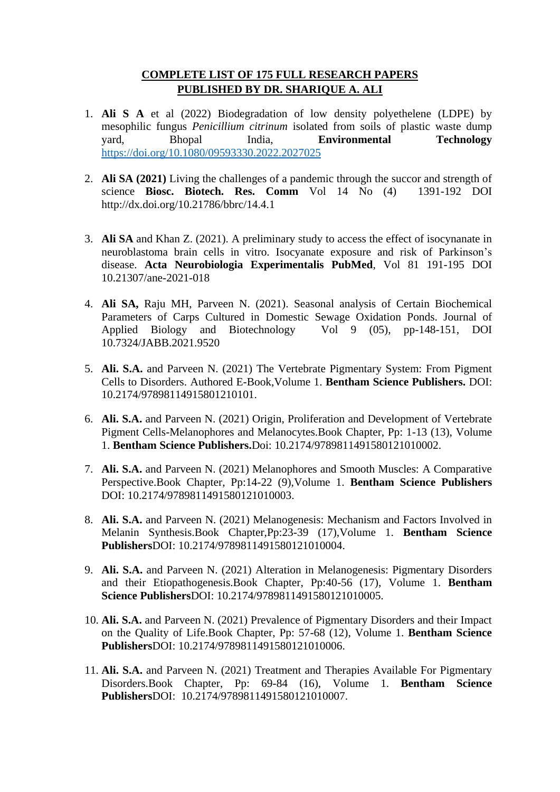## **COMPLETE LIST OF 175 FULL RESEARCH PAPERS PUBLISHED BY DR. SHARIQUE A. ALI**

- 1. **Ali S A** et al (2022) Biodegradation of low density polyethelene (LDPE) by mesophilic fungus *Penicillium citrinum* isolated from soils of plastic waste dump vard. Bhopal India. **Environmental Technology** vard, Bhopal India, **Environmental** <https://doi.org/10.1080/09593330.2022.2027025>
- 2. **Ali SA (2021)** Living the challenges of a pandemic through the succor and strength of science **Biosc. Biotech. Res. Comm** Vol 14 No (4) 1391-192 DOI http://dx.doi.org/10.21786/bbrc/14.4.1
- 3. **Ali SA** and Khan Z. (2021). A preliminary study to access the effect of isocynanate in neuroblastoma brain cells in vitro. Isocyanate exposure and risk of Parkinson's disease. **Acta Neurobiologia Experimentalis PubMed**, Vol 81 191-195 DOI 10.21307/ane-2021-018
- 4. **Ali SA,** Raju MH, Parveen N. (2021). Seasonal analysis of Certain Biochemical Parameters of Carps Cultured in Domestic Sewage Oxidation Ponds. Journal of Applied Biology and Biotechnology Vol 9 (05), pp-148-151, DOI 10.7324/JABB.2021.9520
- 5. **Ali. S.A.** and Parveen N. (2021) The Vertebrate Pigmentary System: From Pigment Cells to Disorders. Authored E-Book,Volume 1. **Bentham Science Publishers.** DOI: 10.2174/97898114915801210101.
- 6. **Ali. S.A.** and Parveen N. (2021) Origin, Proliferation and Development of Vertebrate Pigment Cells-Melanophores and Melanocytes.Book Chapter, Pp: 1-13 (13), Volume 1. **Bentham Science Publishers.**Doi: 10.2174/9789811491580121010002.
- 7. **Ali. S.A.** and Parveen N. (2021) Melanophores and Smooth Muscles: A Comparative Perspective.Book Chapter, Pp:14-22 (9),Volume 1. **Bentham Science Publishers** DOI: 10.2174/9789811491580121010003.
- 8. **Ali. S.A.** and Parveen N. (2021) Melanogenesis: Mechanism and Factors Involved in Melanin Synthesis.Book Chapter,Pp:23-39 (17),Volume 1. **Bentham Science Publishers**DOI: 10.2174/9789811491580121010004.
- 9. **Ali. S.A.** and Parveen N. (2021) Alteration in Melanogenesis: Pigmentary Disorders and their Etiopathogenesis.Book Chapter, Pp:40-56 (17), Volume 1. **Bentham Science Publishers**DOI: 10.2174/9789811491580121010005.
- 10. **Ali. S.A.** and Parveen N. (2021) Prevalence of Pigmentary Disorders and their Impact on the Quality of Life.Book Chapter, Pp: 57-68 (12), Volume 1. **Bentham Science Publishers**DOI: 10.2174/9789811491580121010006.
- 11. **Ali. S.A.** and Parveen N. (2021) Treatment and Therapies Available For Pigmentary Disorders.Book Chapter, Pp: 69-84 (16), Volume 1. **Bentham Science Publishers**DOI: 10.2174/9789811491580121010007.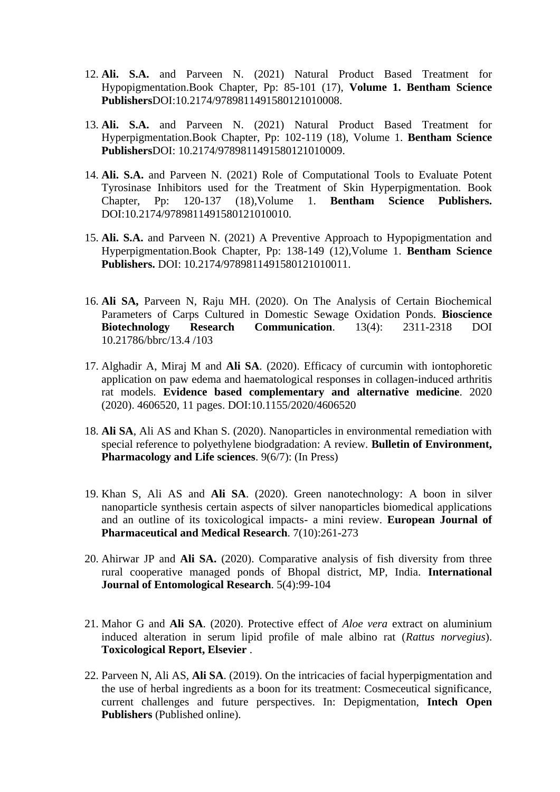- 12. **Ali. S.A.** and Parveen N. (2021) Natural Product Based Treatment for Hypopigmentation.Book Chapter, Pp: 85-101 (17), **Volume 1. Bentham Science Publishers**DOI:10.2174/9789811491580121010008.
- 13. **Ali. S.A.** and Parveen N. (2021) Natural Product Based Treatment for Hyperpigmentation.Book Chapter, Pp: 102-119 (18), Volume 1. **Bentham Science Publishers**DOI: 10.2174/9789811491580121010009.
- 14. **Ali. S.A.** and Parveen N. (2021) Role of Computational Tools to Evaluate Potent Tyrosinase Inhibitors used for the Treatment of Skin Hyperpigmentation. Book Chapter, Pp: 120-137 (18),Volume 1. **Bentham Science Publishers.** DOI:10.2174/9789811491580121010010.
- 15. **Ali. S.A.** and Parveen N. (2021) A Preventive Approach to Hypopigmentation and Hyperpigmentation.Book Chapter, Pp: 138-149 (12),Volume 1. **Bentham Science Publishers.** DOI: 10.2174/9789811491580121010011.
- 16. **Ali SA,** Parveen N, Raju MH. (2020). On The Analysis of Certain Biochemical Parameters of Carps Cultured in Domestic Sewage Oxidation Ponds. **Bioscience Biotechnology Research Communication**. 13(4): 2311-2318 DOI 10.21786/bbrc/13.4 /103
- 17. Alghadir A, Miraj M and **Ali SA**. (2020). Efficacy of curcumin with iontophoretic application on paw edema and haematological responses in collagen-induced arthritis rat models. **Evidence based complementary and alternative medicine**. 2020 (2020). 4606520, 11 pages. DOI:10.1155/2020/4606520
- 18. **Ali SA**, Ali AS and Khan S. (2020). Nanoparticles in environmental remediation with special reference to polyethylene biodgradation: A review. **Bulletin of Environment, Pharmacology and Life sciences**. 9(6/7): (In Press)
- 19. Khan S, Ali AS and **Ali SA**. (2020). Green nanotechnology: A boon in silver nanoparticle synthesis certain aspects of silver nanoparticles biomedical applications and an outline of its toxicological impacts- a mini review. **European Journal of Pharmaceutical and Medical Research**. 7(10):261-273
- 20. Ahirwar JP and **Ali SA.** (2020). Comparative analysis of fish diversity from three rural cooperative managed ponds of Bhopal district, MP, India. **International Journal of Entomological Research**. 5(4):99-104
- 21. Mahor G and **Ali SA**. (2020). Protective effect of *Aloe vera* extract on aluminium induced alteration in serum lipid profile of male albino rat (*Rattus norvegius*). **Toxicological Report, Elsevier** .
- 22. Parveen N, Ali AS, **Ali SA**. (2019). On the intricacies of facial hyperpigmentation and the use of herbal ingredients as a boon for its treatment: Cosmeceutical significance, current challenges and future perspectives. In: Depigmentation, **Intech Open Publishers** (Published online).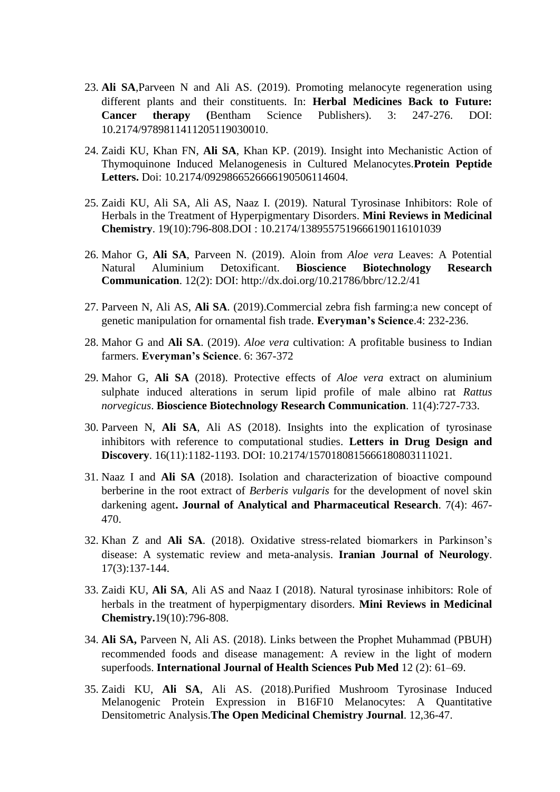- 23. **Ali SA**,Parveen N and Ali AS. (2019). Promoting melanocyte regeneration using different plants and their constituents. In: **Herbal Medicines Back to Future: Cancer therapy (**Bentham Science Publishers). 3: 247-276. DOI: 10.2174/9789811411205119030010.
- 24. Zaidi KU, Khan FN, **Ali SA**, Khan KP. (2019). Insight into Mechanistic Action of Thymoquinone Induced Melanogenesis in Cultured Melanocytes.**Protein Peptide**  Letters. Doi: 10.2174/0929866526666190506114604.
- 25. Zaidi KU, Ali SA, Ali AS, Naaz I. (2019). Natural Tyrosinase Inhibitors: Role of Herbals in the Treatment of Hyperpigmentary Disorders. **Mini Reviews in Medicinal Chemistry**. 19(10):796-808.DOI : 10.2174/1389557519666190116101039
- 26. Mahor G, **Ali SA**, Parveen N. (2019). Aloin from *Aloe vera* Leaves: A Potential Natural Aluminium Detoxificant. **Bioscience Biotechnology Research Communication**. 12(2): DOI: http://dx.doi.org/10.21786/bbrc/12.2/41
- 27. Parveen N, Ali AS, **Ali SA**. (2019).Commercial zebra fish farming:a new concept of genetic manipulation for ornamental fish trade. **Everyman's Science**.4: 232-236.
- 28. Mahor G and **Ali SA**. (2019). *Aloe vera* cultivation: A profitable business to Indian farmers. **Everyman's Science**. 6: 367-372
- 29. Mahor G, **Ali SA** (2018). Protective effects of *Aloe vera* extract on aluminium sulphate induced alterations in serum lipid profile of male albino rat *Rattus norvegicus*. **Bioscience Biotechnology Research Communication**. 11(4):727-733.
- 30. Parveen N, **Ali SA**, Ali AS (2018). Insights into the explication of tyrosinase inhibitors with reference to computational studies. **Letters in Drug Design and Discovery**. 16(11):1182-1193. DOI: 10.2174/1570180815666180803111021.
- 31. Naaz I and **Ali SA** (2018). Isolation and characterization of bioactive compound berberine in the root extract of *Berberis vulgaris* for the development of novel skin darkening agent**. Journal of Analytical and Pharmaceutical Research**. 7(4): 467- 470.
- 32. Khan Z and **Ali SA**. (2018). Oxidative stress-related biomarkers in Parkinson's disease: A systematic review and meta-analysis. **Iranian Journal of Neurology**. 17(3):137-144.
- 33. Zaidi KU, **Ali SA**, Ali AS and Naaz I (2018). Natural tyrosinase inhibitors: Role of herbals in the treatment of hyperpigmentary disorders. **Mini Reviews in Medicinal Chemistry.**19(10):796-808.
- 34. **Ali SA,** Parveen N, Ali AS. (2018). Links between the Prophet Muhammad (PBUH) recommended foods and disease management: A review in the light of modern superfoods. **International Journal of Health Sciences Pub Med** 12 (2): 61–69.
- 35. Zaidi KU, **Ali SA**, Ali AS. (2018).Purified Mushroom Tyrosinase Induced Melanogenic Protein Expression in B16F10 Melanocytes: A Quantitative Densitometric Analysis.**The Open Medicinal Chemistry Journal**. 12,36-47.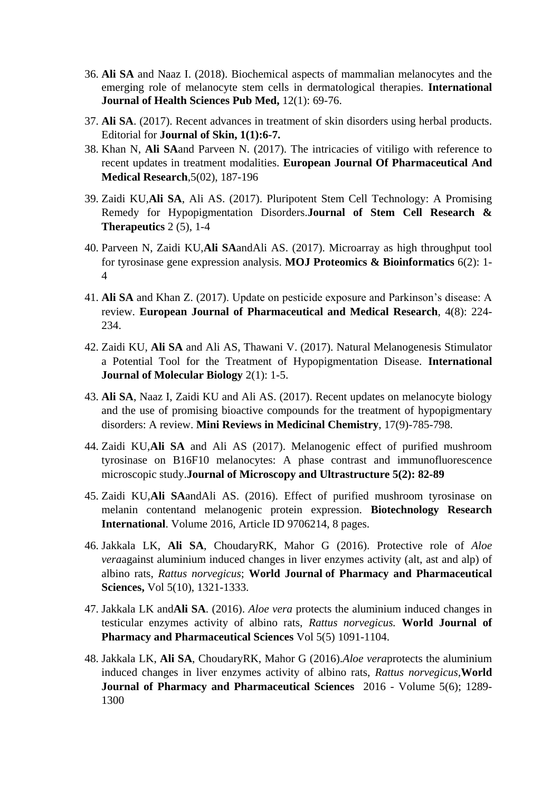- 36. **Ali SA** and Naaz I. (2018). Biochemical aspects of mammalian melanocytes and the emerging role of melanocyte stem cells in dermatological therapies. **International Journal of Health Sciences Pub Med,** 12(1): 69-76.
- 37. **Ali SA**. (2017). Recent advances in treatment of skin disorders using herbal products. Editorial for **Journal of Skin, 1(1):6-7.**
- 38. Khan N, **Ali SA**and Parveen N. (2017). The intricacies of vitiligo with reference to recent updates in treatment modalities. **European Journal Of Pharmaceutical And Medical Research**,5(02), 187-196
- 39. Zaidi KU,**Ali SA**, Ali AS. (2017). Pluripotent Stem Cell Technology: A Promising Remedy for Hypopigmentation Disorders.**Journal of Stem Cell Research & Therapeutics** 2 (5), 1-4
- 40. Parveen N, Zaidi KU,**Ali SA**andAli AS. (2017). Microarray as high throughput tool for tyrosinase gene expression analysis. **MOJ Proteomics & Bioinformatics** 6(2): 1- 4
- 41. **Ali SA** and Khan Z. (2017). Update on pesticide exposure and Parkinson's disease: A review. **European Journal of Pharmaceutical and Medical Research**, 4(8): 224- 234.
- 42. Zaidi KU, **Ali SA** and Ali AS, Thawani V. (2017). Natural Melanogenesis Stimulator a Potential Tool for the Treatment of Hypopigmentation Disease. **International Journal of Molecular Biology** 2(1): 1-5.
- 43. **Ali SA**, Naaz I, Zaidi KU and Ali AS. (2017). Recent updates on melanocyte biology and the use of promising bioactive compounds for the treatment of hypopigmentary disorders: A review. **Mini Reviews in Medicinal Chemistry**, 17(9)-785-798.
- 44. Zaidi KU,**Ali SA** and Ali AS (2017). Melanogenic effect of purified mushroom tyrosinase on B16F10 melanocytes: A phase contrast and immunofluorescence microscopic study.**Journal of Microscopy and Ultrastructure 5(2): 82-89**
- 45. Zaidi KU,**Ali SA**andAli AS. (2016). Effect of purified mushroom tyrosinase on melanin contentand melanogenic protein expression. **Biotechnology Research International**. Volume 2016, Article ID 9706214, 8 pages.
- 46. Jakkala LK, **Ali SA**, ChoudaryRK, Mahor G (2016). Protective role of *Aloe vera*against aluminium induced changes in liver enzymes activity (alt, ast and alp) of albino rats, *Rattus norvegicus*; **World Journal of Pharmacy and Pharmaceutical Sciences,** Vol 5(10), 1321-1333.
- 47. Jakkala LK and**Ali SA**. (2016). *Aloe vera* protects the aluminium induced changes in testicular enzymes activity of albino rats, *Rattus norvegicus.* **World Journal of Pharmacy and Pharmaceutical Sciences** Vol 5(5) 1091-1104.
- 48. Jakkala LK, **Ali SA**, ChoudaryRK, Mahor G (2016).*Aloe vera*protects the aluminium induced changes in liver enzymes activity of albino rats, *Rattus norvegicus*,**World Journal of Pharmacy and Pharmaceutical Sciences** 2016 - Volume 5(6); 1289- 1300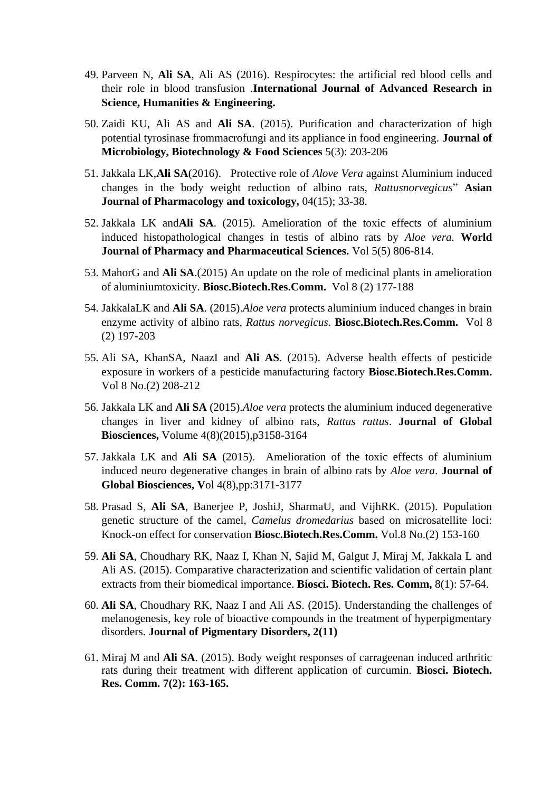- 49. Parveen N, **Ali SA**, Ali AS (2016). Respirocytes: the artificial red blood cells and their role in blood transfusion .**International Journal of Advanced Research in Science, Humanities & Engineering.**
- 50. Zaidi KU, Ali AS and **Ali SA**. (2015). Purification and characterization of high potential tyrosinase frommacrofungi and its appliance in food engineering. **Journal of Microbiology, Biotechnology & Food Sciences** 5(3): 203-206
- 51. Jakkala LK,**Ali SA**(2016). Protective role of *Alove Vera* against Aluminium induced changes in the body weight reduction of albino rats, *Rattusnorvegicus*" **Asian Journal of Pharmacology and toxicology,** 04(15); 33-38.
- 52. Jakkala LK and**Ali SA**. (2015). Amelioration of the toxic effects of aluminium induced histopathological changes in testis of albino rats by *Aloe vera.* **World Journal of Pharmacy and Pharmaceutical Sciences.** Vol 5(5) 806-814.
- 53. MahorG and **Ali SA**.(2015) An update on the role of medicinal plants in amelioration of aluminiumtoxicity. **Biosc.Biotech.Res.Comm.** Vol 8 (2) 177-188
- 54. JakkalaLK and **Ali SA**. (2015).*Aloe vera* protects aluminium induced changes in brain enzyme activity of albino rats, *Rattus norvegicus*. **Biosc.Biotech.Res.Comm.** Vol 8 (2) 197-203
- 55. Ali SA, KhanSA, NaazI and **Ali AS**. (2015). Adverse health effects of pesticide exposure in workers of a pesticide manufacturing factory **Biosc.Biotech.Res.Comm.** Vol 8 No.(2) 208-212
- 56. Jakkala LK and **Ali SA** (2015).*Aloe vera* protects the aluminium induced degenerative changes in liver and kidney of albino rats, *Rattus rattus*. **Journal of Global Biosciences,** Volume 4(8)(2015),p3158-3164
- 57. Jakkala LK and **Ali SA** (2015). Amelioration of the toxic effects of aluminium induced neuro degenerative changes in brain of albino rats by *Aloe vera*. **Journal of Global Biosciences, V**ol 4(8),pp:3171-3177
- 58. Prasad S, **Ali SA**, Banerjee P, JoshiJ, SharmaU, and VijhRK. (2015). Population genetic structure of the camel, *Camelus dromedarius* based on microsatellite loci: Knock-on effect for conservation **Biosc.Biotech.Res.Comm.** Vol.8 No.(2) 153-160
- 59. **Ali SA**, Choudhary RK, Naaz I, Khan N, Sajid M, Galgut J, Miraj M, Jakkala L and Ali AS. (2015). Comparative characterization and scientific validation of certain plant extracts from their biomedical importance. **Biosci. Biotech. Res. Comm,** 8(1): 57-64.
- 60. **Ali SA**, Choudhary RK, Naaz I and Ali AS. (2015). Understanding the challenges of melanogenesis, key role of bioactive compounds in the treatment of hyperpigmentary disorders. **Journal of Pigmentary Disorders, 2(11)**
- 61. Miraj M and **Ali SA**. (2015). Body weight responses of carrageenan induced arthritic rats during their treatment with different application of curcumin. **Biosci. Biotech. Res. Comm. 7(2): 163-165.**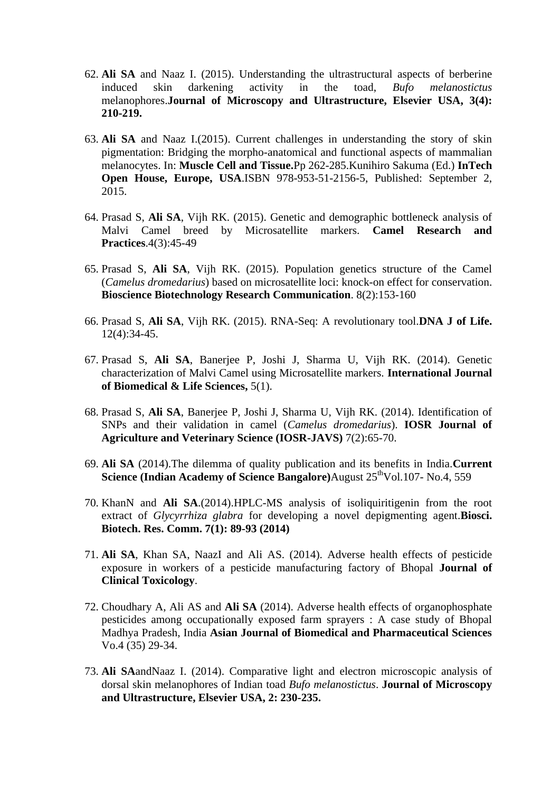- 62. **Ali SA** and Naaz I. (2015). Understanding the ultrastructural aspects of berberine induced skin darkening activity in the toad, *Bufo melanostictus* melanophores.**Journal of Microscopy and Ultrastructure, Elsevier USA, 3(4): 210-219.**
- 63. **Ali SA** and Naaz I.(2015). Current challenges in understanding the story of skin pigmentation: Bridging the morpho-anatomical and functional aspects of mammalian melanocytes. In: **Muscle Cell and Tissue.**Pp 262-285.Kunihiro Sakuma (Ed.) **InTech Open House, Europe, USA**.ISBN 978-953-51-2156-5, Published: September 2, 2015.
- 64. Prasad S, **Ali SA**, Vijh RK. (2015). Genetic and demographic bottleneck analysis of Malvi Camel breed by Microsatellite markers. **Camel Research and Practices**.4(3):45-49
- 65. Prasad S, **Ali SA**, Vijh RK. (2015). Population genetics structure of the Camel (*Camelus dromedarius*) based on microsatellite loci: knock-on effect for conservation. **Bioscience Biotechnology Research Communication**. 8(2):153-160
- 66. Prasad S, **Ali SA**, Vijh RK. (2015). RNA-Seq: A revolutionary tool.**DNA J of Life.** 12(4):34-45.
- 67. Prasad S, **Ali SA**, Banerjee P, Joshi J, Sharma U, Vijh RK. (2014). Genetic characterization of Malvi Camel using Microsatellite markers. **International Journal of Biomedical & Life Sciences,** 5(1).
- 68. Prasad S, **Ali SA**, Banerjee P, Joshi J, Sharma U, Vijh RK. (2014). Identification of SNPs and their validation in camel (*Camelus dromedarius*). **IOSR Journal of Agriculture and Veterinary Science (IOSR-JAVS)** 7(2):65-70.
- 69. **Ali SA** (2014).The dilemma of quality publication and its benefits in India.**Current Science (Indian Academy of Science Bangalore)**August  $25^{\text{th}}$ Vol.107- No.4, 559
- 70. KhanN and **Ali SA**.(2014).HPLC-MS analysis of isoliquiritigenin from the root extract of *Glycyrrhiza glabra* for developing a novel depigmenting agent.**Biosci. Biotech. Res. Comm. 7(1): 89-93 (2014)**
- 71. **Ali SA**, Khan SA, NaazI and Ali AS. (2014). Adverse health effects of pesticide exposure in workers of a pesticide manufacturing factory of Bhopal **Journal of Clinical Toxicology**.
- 72. Choudhary A, Ali AS and **Ali SA** (2014). Adverse health effects of organophosphate pesticides among occupationally exposed farm sprayers : A case study of Bhopal Madhya Pradesh, India **Asian Journal of Biomedical and Pharmaceutical Sciences**  Vo.4 (35) 29-34.
- 73. **Ali SA**andNaaz I. (2014). Comparative light and electron microscopic analysis of dorsal skin melanophores of Indian toad *Bufo melanostictus*. **Journal of Microscopy and Ultrastructure, Elsevier USA, 2: 230-235.**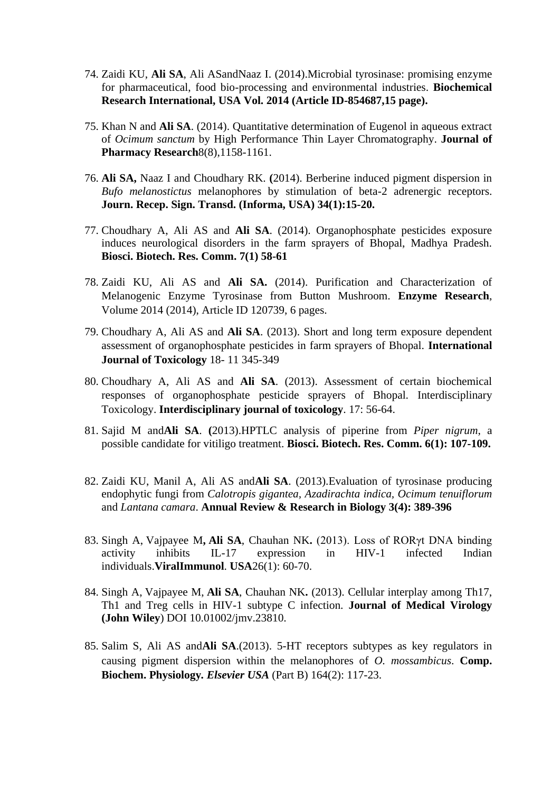- 74. Zaidi KU, **Ali SA**, Ali ASandNaaz I. (2014).Microbial tyrosinase: promising enzyme for pharmaceutical, food bio-processing and environmental industries. **Biochemical Research International, USA Vol. 2014 (Article ID-854687,15 page).**
- 75. Khan N and **Ali SA**. (2014). Quantitative determination of Eugenol in aqueous extract of *Ocimum sanctum* by High Performance Thin Layer Chromatography. **Journal of Pharmacy Research**8(8),1158-1161.
- 76. **Ali SA,** Naaz I and Choudhary RK. **(**2014). Berberine induced pigment dispersion in *Bufo melanostictus* melanophores by stimulation of beta-2 adrenergic receptors. **Journ. Recep. Sign. Transd. (Informa, USA) 34(1):15-20.**
- 77. Choudhary A, Ali AS and **Ali SA**. (2014). Organophosphate pesticides exposure induces neurological disorders in the farm sprayers of Bhopal, Madhya Pradesh. **Biosci. Biotech. Res. Comm. 7(1) 58-61**
- 78. Zaidi KU, Ali AS and **Ali SA.** (2014). Purification and Characterization of Melanogenic Enzyme Tyrosinase from Button Mushroom. **Enzyme Research**, Volume 2014 (2014), Article ID 120739, 6 pages.
- 79. Choudhary A, Ali AS and **Ali SA**. (2013). Short and long term exposure dependent assessment of organophosphate pesticides in farm sprayers of Bhopal. **International Journal of Toxicology** 18- 11 345-349
- 80. Choudhary A, Ali AS and **Ali SA**. (2013). Assessment of certain biochemical responses of organophosphate pesticide sprayers of Bhopal. Interdisciplinary Toxicology. **Interdisciplinary journal of toxicology**. 17: 56-64.
- 81. Sajid M and**Ali SA**. **(**2013).HPTLC analysis of piperine from *Piper nigrum*, a possible candidate for vitiligo treatment. **Biosci. Biotech. Res. Comm. 6(1): 107-109.**
- 82. Zaidi KU, Manil A, Ali AS and**Ali SA**. (2013).Evaluation of tyrosinase producing endophytic fungi from *Calotropis gigantea, Azadirachta indica, Ocimum tenuiflorum* and *Lantana camara*. **Annual Review & Research in Biology 3(4): 389-396**
- 83. Singh A, Vajpayee M**, Ali SA**, Chauhan NK**.** (2013). Loss of RORγt DNA binding activity inhibits IL-17 expression in HIV-1 infected Indian individuals.**ViralImmunol**. **USA**26(1): 60-70.
- 84. Singh A, Vajpayee M, **Ali SA**, Chauhan NK**.** (2013). Cellular interplay among Th17, Th1 and Treg cells in HIV-1 subtype C infection. **Journal of Medical Virology (John Wiley**) DOI 10.01002/jmv.23810.
- 85. Salim S, Ali AS and**Ali SA**.(2013). 5-HT receptors subtypes as key regulators in causing pigment dispersion within the melanophores of *O. mossambicus*. **Comp. Biochem. Physiology***. Elsevier USA* (Part B) 164(2): 117-23.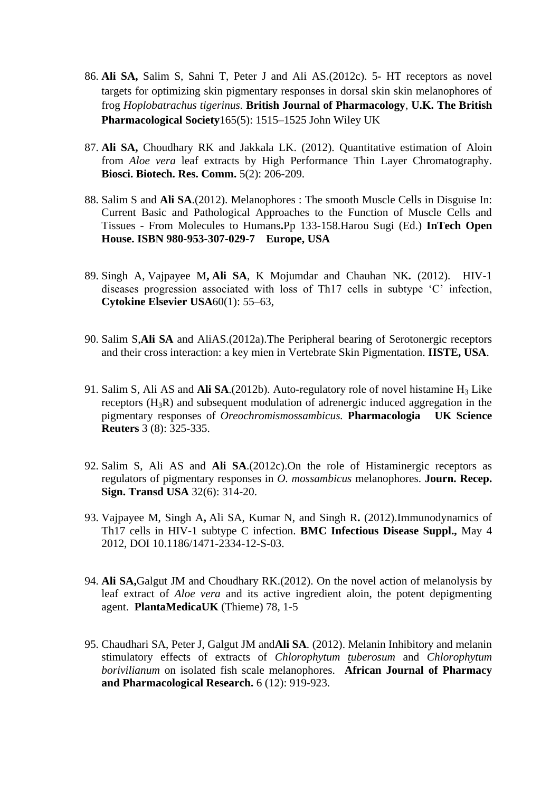- 86. **Ali SA,** Salim S, Sahni T, Peter J and Ali AS.(2012c). 5- HT receptors as novel targets for optimizing skin pigmentary responses in dorsal skin skin melanophores of frog *Hoplobatrachus tigerinus.* **British Journal of Pharmacology**, **U.K. The British Pharmacological Society**[165\(5\):](http://onlinelibrary.wiley.com/doi/10.1111/bph.2012.165.issue-5/issuetoc) 1515–1525 John Wiley UK
- 87. **Ali SA,** Choudhary RK and Jakkala LK. (2012). Quantitative estimation of Aloin from *Aloe vera* leaf extracts by High Performance Thin Layer Chromatography. **Biosci. Biotech. Res. Comm.** 5(2): 206-209.
- 88. Salim S and **Ali SA**.(2012). Melanophores : The smooth Muscle Cells in Disguise In: Current Basic and Pathological Approaches to the Function of Muscle Cells and Tissues - From Molecules to Humans**.**Pp 133-158.Harou Sugi (Ed.) **InTech Open House. ISBN 980-953-307-029-7 Europe, USA**
- 89. Singh A, Vajpayee M**, Ali SA**, K Mojumdar and Chauhan NK*.* (2012). HIV-1 diseases progression associated with loss of Th17 cells in subtype 'C' infection, **Cytokine Elsevier USA**60(1): 55–63,
- 90. Salim S,**Ali SA** and AliAS.(2012a).The Peripheral bearing of Serotonergic receptors and their cross interaction: a key mien in Vertebrate Skin Pigmentation. **IISTE, USA**.
- 91. Salim S, Ali AS and Ali SA.(2012b). Auto-regulatory role of novel histamine H<sub>3</sub> Like receptors (H3R) and subsequent modulation of adrenergic induced aggregation in the pigmentary responses of *Oreochromismossambicus.* **Pharmacologia UK Science Reuters** 3 (8): 325-335.
- 92. Salim S, Ali AS and **Ali SA**.(2012c).On the role of Histaminergic receptors as regulators of pigmentary responses in *O. mossambicus* melanophores. **Journ. Recep. Sign. Transd USA** 32(6): 314-20.
- 93. Vajpayee M, Singh A**,** Ali SA, Kumar N, and Singh R**.** (2012).Immunodynamics of Th17 cells in HIV-1 subtype C infection. **BMC Infectious Disease Suppl.,** May 4 2012, DOI 10.1186/1471-2334-12-S-03.
- 94. **Ali SA,**Galgut JM and Choudhary RK.(2012). On the novel action of melanolysis by leaf extract of *Aloe vera* and its active ingredient aloin, the potent depigmenting agent. **PlantaMedicaUK** (Thieme) 78, 1-5
- 95. Chaudhari SA, Peter J, Galgut JM and**Ali SA**. (2012). Melanin Inhibitory and melanin stimulatory effects of extracts of *Chlorophytum tuberosum* and *Chlorophytum borivilianum* on isolated fish scale melanophores. **African Journal of Pharmacy and Pharmacological Research.** 6 (12): 919-923.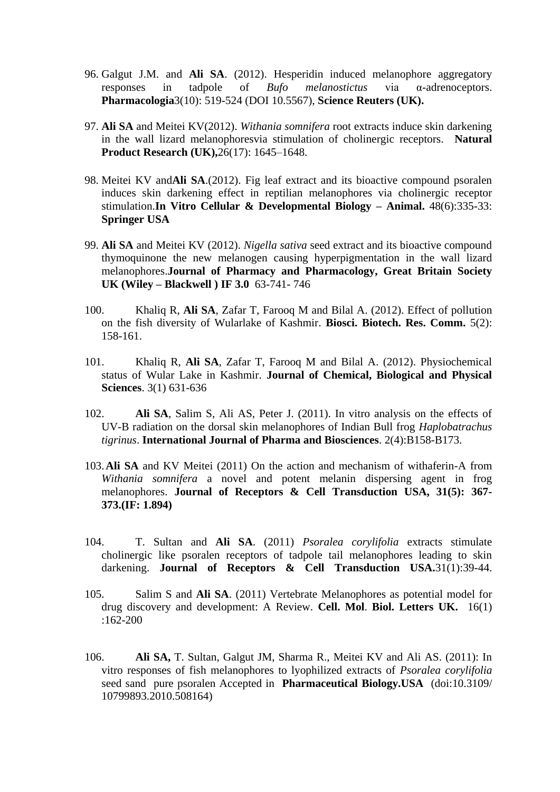- 96. Galgut J.M. and **Ali SA**. (2012). Hesperidin induced melanophore aggregatory responses in tadpole of *Bufo melanostictus* via α-adrenoceptors. **Pharmacologia**3(10): 519-524 (DOI 10.5567), **Science Reuters (UK).**
- 97. **Ali SA** and Meitei KV(2012). *Withania somnifera* root extracts induce skin darkening in the wall lizard melanophoresvia stimulation of cholinergic receptors. **Natural Product Research (UK),**26(17): 1645–1648.
- 98. Meitei KV and**Ali SA**.(2012). Fig leaf extract and its bioactive compound psoralen induces skin darkening effect in reptilian melanophores via cholinergic receptor stimulation.**In Vitro Cellular & Developmental Biology – Animal.** 48(6):335-33: **Springer USA**
- 99. **Ali SA** and Meitei KV (2012). *Nigella sativa* seed extract and its bioactive compound thymoquinone the new melanogen causing hyperpigmentation in the wall lizard melanophores.**Journal of Pharmacy and Pharmacology, Great Britain Society UK (Wiley – Blackwell ) IF 3.0** 63-741- 746
- 100. Khaliq R, **Ali SA**, Zafar T, Farooq M and Bilal A. (2012). Effect of pollution on the fish diversity of Wularlake of Kashmir. **Biosci. Biotech. Res. Comm.** 5(2): 158-161.
- 101. Khaliq R, **Ali SA**, Zafar T, Farooq M and Bilal A. (2012). Physiochemical status of Wular Lake in Kashmir. **Journal of Chemical, Biological and Physical Sciences**. 3(1) 631-636
- 102. **Ali SA**, Salim S, Ali AS, Peter J. (2011). In vitro analysis on the effects of UV-B radiation on the dorsal skin melanophores of Indian Bull frog *Haplobatrachus tigrinus*. **International Journal of Pharma and Biosciences**. 2(4):B158-B173.
- 103.**Ali SA** and KV Meitei (2011) On the action and mechanism of withaferin-A from *Withania somnifera* a novel and potent melanin dispersing agent in frog melanophores. **Journal of Receptors & Cell Transduction USA, 31(5): 367- 373.(IF: 1.894)**
- 104. T. Sultan and **Ali SA**. (2011) *Psoralea corylifolia* extracts stimulate cholinergic like psoralen receptors of tadpole tail melanophores leading to skin darkening. **Journal of Receptors & Cell Transduction USA.**31(1):39-44.
- 105. Salim S and **Ali SA**. (2011) Vertebrate Melanophores as potential model for drug discovery and development: A Review. **Cell. Mol**. **Biol. Letters UK.** 16(1) :162-200
- 106. **Ali SA,** T. Sultan, Galgut JM, Sharma R., Meitei KV and Ali AS. (2011): In vitro responses of fish melanophores to lyophilized extracts of *Psoralea corylifolia* seed sand pure psoralen Accepted in **Pharmaceutical Biology.USA** (doi:10.3109/ 10799893.2010.508164)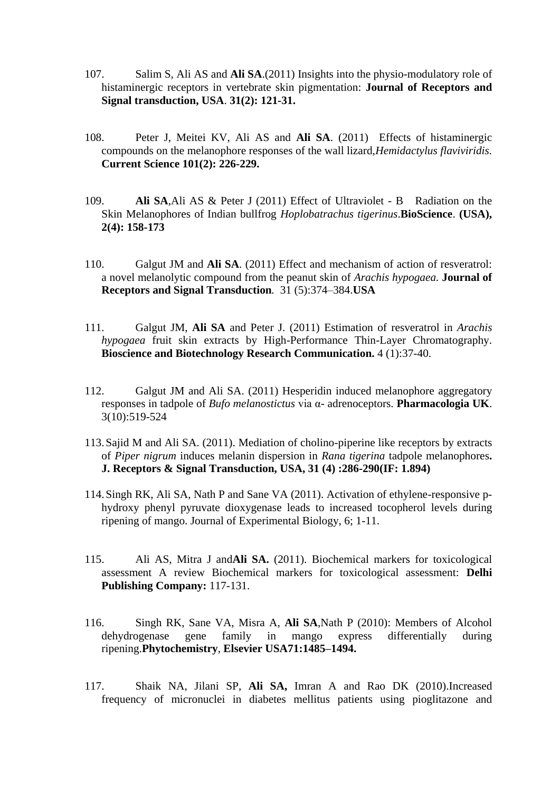- 107. Salim S, Ali AS and **Ali SA**.(2011) Insights into the physio-modulatory role of histaminergic receptors in vertebrate skin pigmentation: **Journal of Receptors and Signal transduction, USA**. **31(2): 121-31.**
- 108. Peter J, Meitei KV, Ali AS and **Ali SA**. (2011) Effects of histaminergic compounds on the melanophore responses of the wall lizard,*Hemidactylus flaviviridis.*  **Current Science 101(2): 226-229.**
- 109. **Ali SA**,Ali AS & Peter J (2011) Effect of Ultraviolet B Radiation on the Skin Melanophores of Indian bullfrog *Hoplobatrachus tigerinus*.**BioScience**. **(USA), 2(4): 158-173**
- 110. Galgut JM and **Ali SA**. (2011) Effect and mechanism of action of resveratrol: a novel melanolytic compound from the peanut skin of *Arachis hypogaea.* **Journal of Receptors and Signal Transduction***.* 31 (5):374–384.**USA**
- 111. Galgut JM, **Ali SA** and Peter J. (2011) Estimation of resveratrol in *Arachis hypogaea* fruit skin extracts by High-Performance Thin-Layer Chromatography. **Bioscience and Biotechnology Research Communication.** 4 (1):37-40.
- 112. Galgut JM and Ali SA. (2011) Hesperidin induced melanophore aggregatory responses in tadpole of *Bufo melanostictus* via α- adrenoceptors. **Pharmacologia UK**. 3(10):519-524
- 113.Sajid M and Ali SA. (2011). Mediation of cholino-piperine like receptors by extracts of *Piper nigrum* induces melanin dispersion in *Rana tigerina* tadpole melanophores**. J. Receptors & Signal Transduction, USA, 31 (4) :286-290(IF: 1.894)**
- 114.Singh RK, Ali SA, Nath P and Sane VA (2011). Activation of ethylene-responsive phydroxy phenyl pyruvate dioxygenase leads to increased tocopherol levels during ripening of mango. Journal of Experimental Biology, 6; 1-11.
- 115. Ali AS, Mitra J and**Ali SA.** (2011). Biochemical markers for toxicological assessment A review Biochemical markers for toxicological assessment: **Delhi Publishing Company:** 117-131.
- 116. Singh RK, Sane VA, Misra A, **Ali SA**,Nath P (2010): Members of Alcohol dehydrogenase gene family in mango express differentially during ripening.**Phytochemistry**, **Elsevier USA71:1485–1494.**
- 117. Shaik NA, Jilani SP, **Ali SA,** Imran A and Rao DK (2010).Increased frequency of micronuclei in diabetes mellitus patients using pioglitazone and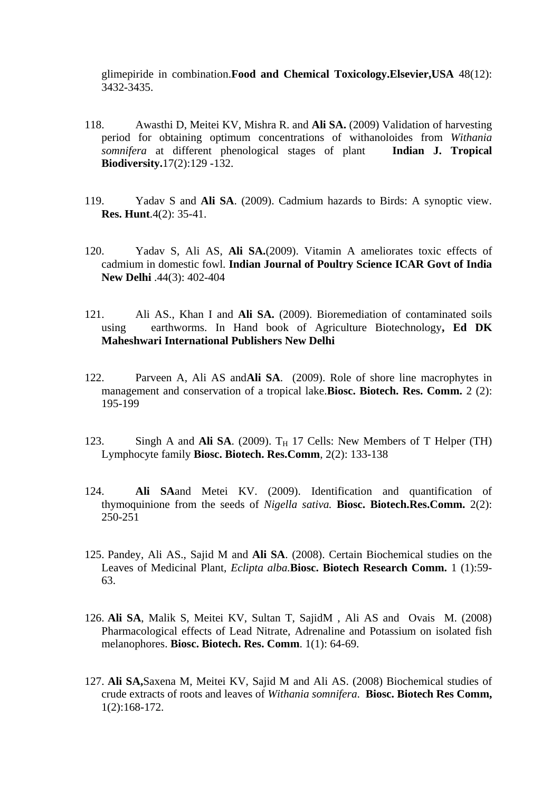glimepiride in combination.**Food and Chemical Toxicology.Elsevier,USA** 48(12): 3432-3435.

- 118. Awasthi D, Meitei KV, Mishra R. and **Ali SA.** (2009) Validation of harvesting period for obtaining optimum concentrations of withanoloides from *Withania somnifera* at different phenological stages of plant **Indian J. Tropical Biodiversity.**17(2):129 -132.
- 119. Yadav S and **Ali SA**. (2009). Cadmium hazards to Birds: A synoptic view. **Res. Hunt**.4(2): 35-41.
- 120. Yadav S, Ali AS, **Ali SA.**(2009). Vitamin A ameliorates toxic effects of cadmium in domestic fowl. **Indian Journal of Poultry Science ICAR Govt of India New Delhi** .44(3): 402-404
- 121. Ali AS., Khan I and **Ali SA.** (2009). Bioremediation of contaminated soils using earthworms. In Hand book of Agriculture Biotechnology**, Ed DK Maheshwari International Publishers New Delhi**
- 122. Parveen A, Ali AS and**Ali SA**. (2009). Role of shore line macrophytes in management and conservation of a tropical lake.**Biosc. Biotech. Res. Comm.** 2 (2): 195-199
- 123. Singh A and Ali SA.  $(2009)$ . T<sub>H</sub> 17 Cells: New Members of T Helper (TH) Lymphocyte family **Biosc. Biotech. Res.Comm**, 2(2): 133-138
- 124. **Ali SA**and Metei KV. (2009). Identification and quantification of thymoquinione from the seeds of *Nigella sativa.* **Biosc. Biotech.Res.Comm.** 2(2): 250-251
- 125. Pandey, Ali AS., Sajid M and **Ali SA**. (2008). Certain Biochemical studies on the Leaves of Medicinal Plant, *Eclipta alba.***Biosc. Biotech Research Comm.** 1 (1):59- 63.
- 126. **Ali SA**, Malik S, Meitei KV, Sultan T, SajidM , Ali AS and Ovais M. (2008) Pharmacological effects of Lead Nitrate, Adrenaline and Potassium on isolated fish melanophores. **Biosc. Biotech. Res. Comm**. 1(1): 64-69.
- 127. **Ali SA,**Saxena M, Meitei KV, Sajid M and Ali AS. (2008) Biochemical studies of crude extracts of roots and leaves of *Withania somnifera*. **Biosc. Biotech Res Comm,** 1(2):168-172.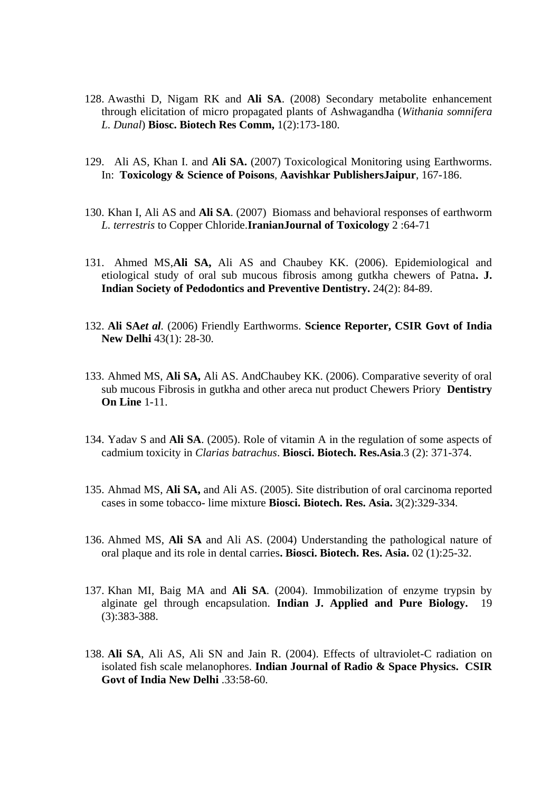- 128. Awasthi D, Nigam RK and **Ali SA**. (2008) Secondary metabolite enhancement through elicitation of micro propagated plants of Ashwagandha (*Withania somnifera L. Dunal*) **Biosc. Biotech Res Comm,** 1(2):173-180.
- 129. Ali AS, Khan I. and **Ali SA.** (2007) Toxicological Monitoring using Earthworms. In: **Toxicology & Science of Poisons**, **Aavishkar PublishersJaipur**, 167-186.
- 130. Khan I, Ali AS and **Ali SA**. (2007) Biomass and behavioral responses of earthworm *L. terrestris* to Copper Chloride.**IranianJournal of Toxicology** 2 :64-71
- 131. Ahmed MS,**Ali SA,** Ali AS and Chaubey KK. (2006). Epidemiological and etiological study of oral sub mucous fibrosis among gutkha chewers of Patna**. J. Indian Society of Pedodontics and Preventive Dentistry.** 24(2): 84-89.
- 132. **Ali SA***et al.* (2006) Friendly Earthworms. **Science Reporter, CSIR Govt of India New Delhi** 43(1): 28-30.
- 133. Ahmed MS, **Ali SA,** Ali AS. AndChaubey KK. (2006). Comparative severity of oral sub mucous Fibrosis in gutkha and other areca nut product Chewers Priory **Dentistry On Line** 1-11.
- 134. Yadav S and **Ali SA**. (2005). Role of vitamin A in the regulation of some aspects of cadmium toxicity in *Clarias batrachus*. **Biosci. Biotech. Res.Asia**.3 (2): 371-374.
- 135. Ahmad MS, **Ali SA,** and Ali AS. (2005). Site distribution of oral carcinoma reported cases in some tobacco- lime mixture **Biosci. Biotech. Res. Asia.** 3(2):329-334.
- 136. Ahmed MS, **Ali SA** and Ali AS. (2004) Understanding the pathological nature of oral plaque and its role in dental carries**. Biosci. Biotech. Res. Asia.** 02 (1):25-32.
- 137. Khan MI, Baig MA and **Ali SA**. (2004). Immobilization of enzyme trypsin by alginate gel through encapsulation. **Indian J. Applied and Pure Biology.** 19 (3):383-388.
- 138. **Ali SA**, Ali AS, Ali SN and Jain R. (2004). Effects of ultraviolet-C radiation on isolated fish scale melanophores. **Indian Journal of Radio & Space Physics. CSIR Govt of India New Delhi** .33:58-60.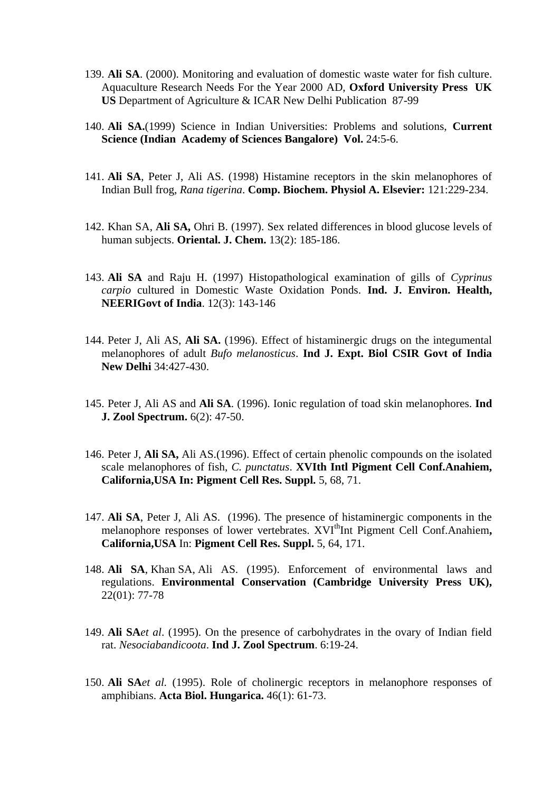- 139. **Ali SA**. (2000). Monitoring and evaluation of domestic waste water for fish culture. Aquaculture Research Needs For the Year 2000 AD, **Oxford University Press UK US** Department of Agriculture & ICAR New Delhi Publication 87-99
- 140. **Ali SA.**(1999) Science in Indian Universities: Problems and solutions, **Current Science (Indian Academy of Sciences Bangalore) Vol.** 24:5-6.
- 141. **Ali SA**, Peter J, Ali AS. (1998) Histamine receptors in the skin melanophores of Indian Bull frog, *Rana tigerina*. **Comp. Biochem. Physiol A. Elsevier:** 121:229-234.
- 142. Khan SA, **Ali SA,** Ohri B. (1997). Sex related differences in blood glucose levels of human subjects. **Oriental. J. Chem.** 13(2): 185-186.
- 143. **Ali SA** and Raju H. (1997) Histopathological examination of gills of *Cyprinus carpio* cultured in Domestic Waste Oxidation Ponds. **Ind. J. Environ. Health, NEERIGovt of India**. 12(3): 143-146
- 144. Peter J, Ali AS, **Ali SA.** (1996). Effect of histaminergic drugs on the integumental melanophores of adult *Bufo melanosticus*. **Ind J. Expt. Biol CSIR Govt of India New Delhi** 34:427-430.
- 145. Peter J, Ali AS and **Ali SA**. (1996). Ionic regulation of toad skin melanophores. **Ind J. Zool Spectrum.** 6(2): 47-50.
- 146. Peter J, **Ali SA,** Ali AS.(1996). Effect of certain phenolic compounds on the isolated scale melanophores of fish, *C. punctatus*. **XVIth Intl Pigment Cell Conf.Anahiem, California,USA In: Pigment Cell Res. Suppl.** 5, 68, 71.
- 147. **Ali SA**, Peter J, Ali AS. (1996). The presence of histaminergic components in the melanophore responses of lower vertebrates. XVI<sup>th</sup>Int Pigment Cell Conf.Anahiem. **California,USA** In: **Pigment Cell Res. Suppl.** 5, 64, 171.
- 148. **Ali SA**, Khan SA, Ali AS. (1995). Enforcement of environmental laws and regulations. **Environmental Conservation (Cambridge University Press UK),** 22(01): 77-78
- 149. **Ali SA***et al*. (1995). On the presence of carbohydrates in the ovary of Indian field rat. *Nesociabandicoota*. **Ind J. Zool Spectrum**. 6:19-24.
- 150. **Ali SA***et al.* (1995). Role of cholinergic receptors in melanophore responses of amphibians. **Acta Biol. Hungarica.** 46(1): 61-73.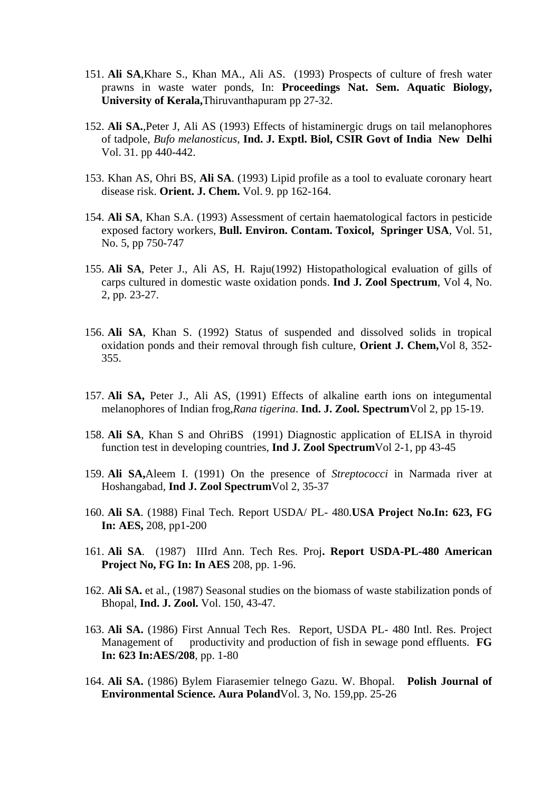- 151. **Ali SA**,Khare S., Khan MA., Ali AS. (1993) Prospects of culture of fresh water prawns in waste water ponds, In: **Proceedings Nat. Sem. Aquatic Biology, University of Kerala,**Thiruvanthapuram pp 27-32.
- 152. **Ali SA.**,Peter J, Ali AS (1993) Effects of histaminergic drugs on tail melanophores of tadpole, *Bufo melanosticus*, **Ind. J. Exptl. Biol, CSIR Govt of India New Delhi** Vol. 31. pp 440-442.
- 153. Khan AS, Ohri BS, **Ali SA**. (1993) Lipid profile as a tool to evaluate coronary heart disease risk. **Orient. J. Chem.** Vol. 9. pp 162-164.
- 154. **Ali SA**, Khan S.A. (1993) Assessment of certain haematological factors in pesticide exposed factory workers, **Bull. Environ. Contam. Toxicol, Springer USA**, Vol. 51, No. 5, pp 750-747
- 155. **Ali SA**, Peter J., Ali AS, H. Raju(1992) Histopathological evaluation of gills of carps cultured in domestic waste oxidation ponds. **Ind J. Zool Spectrum**, Vol 4, No. 2, pp. 23-27.
- 156. **Ali SA**, Khan S. (1992) Status of suspended and dissolved solids in tropical oxidation ponds and their removal through fish culture, **Orient J. Chem,**Vol 8, 352- 355.
- 157. **Ali SA,** Peter J., Ali AS, (1991) Effects of alkaline earth ions on integumental melanophores of Indian frog,*Rana tigerina*. **Ind. J. Zool. Spectrum**Vol 2, pp 15-19.
- 158. **Ali SA**, Khan S and OhriBS (1991) Diagnostic application of ELISA in thyroid function test in developing countries, **Ind J. Zool Spectrum**Vol 2-1, pp 43-45
- 159. **Ali SA,**Aleem I. (1991) On the presence of *Streptococci* in Narmada river at Hoshangabad, **Ind J. Zool Spectrum**Vol 2, 35-37
- 160. **Ali SA**. (1988) Final Tech. Report USDA/ PL- 480.**USA Project No.In: 623, FG In: AES,** 208, pp1-200
- 161. **Ali SA**. (1987) IIIrd Ann. Tech Res. Proj**. Report USDA-PL-480 American Project No, FG In: In AES** 208, pp. 1-96.
- 162. **Ali SA.** et al., (1987) Seasonal studies on the biomass of waste stabilization ponds of Bhopal, **Ind. J. Zool.** Vol. 150, 43-47.
- 163. **Ali SA.** (1986) First Annual Tech Res. Report, USDA PL- 480 Intl. Res. Project Management of productivity and production of fish in sewage pond effluents. **FG In: 623 In:AES/208**, pp. 1-80
- 164. **Ali SA.** (1986) Bylem Fiarasemier telnego Gazu. W. Bhopal. **Polish Journal of Environmental Science. Aura Poland**Vol. 3, No. 159,pp. 25-26